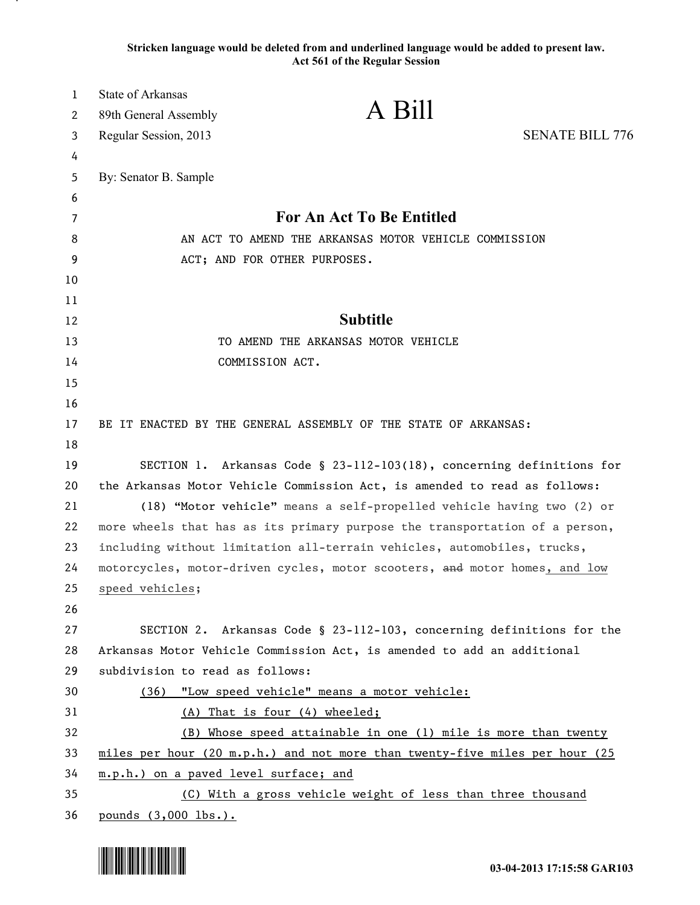**Stricken language would be deleted from and underlined language would be added to present law. Act 561 of the Regular Session**

| $\mathbf{1}$ | State of Arkansas                     |                                                                             |                        |
|--------------|---------------------------------------|-----------------------------------------------------------------------------|------------------------|
| 2            | 89th General Assembly                 | A Bill                                                                      |                        |
| 3            | Regular Session, 2013                 |                                                                             | <b>SENATE BILL 776</b> |
| 4            |                                       |                                                                             |                        |
| 5            | By: Senator B. Sample                 |                                                                             |                        |
| 6            |                                       |                                                                             |                        |
| 7            |                                       | For An Act To Be Entitled                                                   |                        |
| 8            |                                       | AN ACT TO AMEND THE ARKANSAS MOTOR VEHICLE COMMISSION                       |                        |
| 9            |                                       | ACT; AND FOR OTHER PURPOSES.                                                |                        |
| 10           |                                       |                                                                             |                        |
| 11           |                                       |                                                                             |                        |
| 12           |                                       | <b>Subtitle</b>                                                             |                        |
| 13           |                                       | TO AMEND THE ARKANSAS MOTOR VEHICLE                                         |                        |
| 14           |                                       | COMMISSION ACT.                                                             |                        |
| 15           |                                       |                                                                             |                        |
| 16           |                                       |                                                                             |                        |
| 17           |                                       | BE IT ENACTED BY THE GENERAL ASSEMBLY OF THE STATE OF ARKANSAS:             |                        |
| 18           |                                       |                                                                             |                        |
| 19           |                                       | SECTION 1. Arkansas Code § 23-112-103(18), concerning definitions for       |                        |
| 20           |                                       | the Arkansas Motor Vehicle Commission Act, is amended to read as follows:   |                        |
| 21           |                                       | (18) "Motor vehicle" means a self-propelled vehicle having two (2) or       |                        |
| 22           |                                       | more wheels that has as its primary purpose the transportation of a person, |                        |
| 23           |                                       | including without limitation all-terrain vehicles, automobiles, trucks,     |                        |
| 24           |                                       | motorcycles, motor-driven cycles, motor scooters, and motor homes, and low  |                        |
| 25           | speed vehicles;                       |                                                                             |                        |
| 26           |                                       |                                                                             |                        |
| 27           |                                       | SECTION 2. Arkansas Code § 23-112-103, concerning definitions for the       |                        |
| 28           |                                       | Arkansas Motor Vehicle Commission Act, is amended to add an additional      |                        |
| 29           | subdivision to read as follows:       |                                                                             |                        |
| 30           |                                       | (36) "Low speed vehicle" means a motor vehicle:                             |                        |
| 31           |                                       | (A) That is four (4) wheeled;                                               |                        |
| 32           |                                       | (B) Whose speed attainable in one (1) mile is more than twenty              |                        |
| 33           |                                       | miles per hour (20 m.p.h.) and not more than twenty-five miles per hour (25 |                        |
| 34<br>35     | m.p.h.) on a paved level surface; and |                                                                             |                        |
| 36           |                                       | (C) With a gross vehicle weight of less than three thousand                 |                        |
|              | pounds (3,000 lbs.).                  |                                                                             |                        |

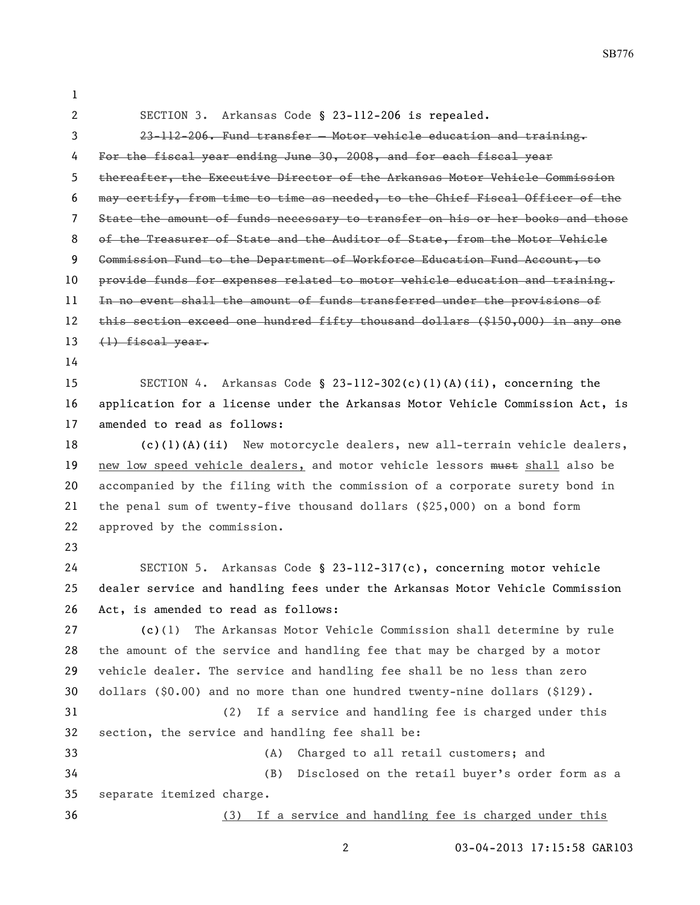SB776

| 1                     |                                                                               |  |  |
|-----------------------|-------------------------------------------------------------------------------|--|--|
| $\mathbf{2}^{\prime}$ | SECTION 3. Arkansas Code § 23-112-206 is repealed.                            |  |  |
| 3                     | 23-112-206. Fund transfer - Motor vehicle education and training.             |  |  |
| 4                     | For the fiscal year ending June 30, 2008, and for each fiscal year            |  |  |
| 5.                    | thereafter, the Executive Director of the Arkansas Motor Vehicle Commission   |  |  |
| 6                     | may certify, from time to time as needed, to the Chief Fiscal Officer of the  |  |  |
| 7                     | State the amount of funds necessary to transfer on his or her books and those |  |  |
| 8                     | of the Treasurer of State and the Auditor of State, from the Motor Vehicle    |  |  |
| 9                     | Commission Fund to the Department of Workforce Education Fund Account, to     |  |  |
| 10                    | provide funds for expenses related to motor vehicle education and training.   |  |  |
| 11                    | In no event shall the amount of funds transferred under the provisions of     |  |  |
| 12                    | this section exceed one hundred fifty thousand dollars (\$150,000) in any one |  |  |
| 13                    | $\left\langle \downarrow \right\rangle$ fiscal year.                          |  |  |
| 14                    |                                                                               |  |  |
| 15                    | SECTION 4. Arkansas Code § 23-112-302(c)(1)(A)(ii), concerning the            |  |  |
| 16                    | application for a license under the Arkansas Motor Vehicle Commission Act, is |  |  |
| 17                    | amended to read as follows:                                                   |  |  |
| 18                    | $(c)(1)(A)(ii)$ New motorcycle dealers, new all-terrain vehicle dealers,      |  |  |
| 19                    | new low speed vehicle dealers, and motor vehicle lessors must shall also be   |  |  |
| 20                    | accompanied by the filing with the commission of a corporate surety bond in   |  |  |
| 21                    | the penal sum of twenty-five thousand dollars $(25,000)$ on a bond form       |  |  |
| 22                    | approved by the commission.                                                   |  |  |
| 23                    |                                                                               |  |  |
| 24                    | SECTION 5. Arkansas Code § 23-112-317(c), concerning motor vehicle            |  |  |
| 25                    | dealer service and handling fees under the Arkansas Motor Vehicle Commission  |  |  |
| 26                    | Act, is amended to read as follows:                                           |  |  |
| 27                    | The Arkansas Motor Vehicle Commission shall determine by rule<br>(c)(1)       |  |  |
| 28                    | the amount of the service and handling fee that may be charged by a motor     |  |  |
| 29                    | vehicle dealer. The service and handling fee shall be no less than zero       |  |  |
| 30                    | dollars $(§0.00)$ and no more than one hundred twenty-nine dollars $(§129)$ . |  |  |
| 31                    | If a service and handling fee is charged under this<br>(2)                    |  |  |
| 32                    | section, the service and handling fee shall be:                               |  |  |
| 33                    | Charged to all retail customers; and<br>(A)                                   |  |  |
| 34                    | (B)<br>Disclosed on the retail buyer's order form as a                        |  |  |
| 35                    | separate itemized charge.                                                     |  |  |
| 36                    | (3) If a service and handling fee is charged under this                       |  |  |

03-04-2013 17:15:58 GAR103